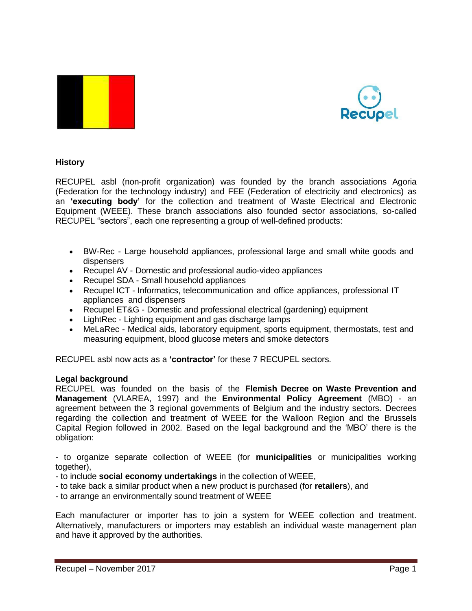



# **History**

RECUPEL asbl (non-profit organization) was founded by the branch associations Agoria (Federation for the technology industry) and FEE (Federation of electricity and electronics) as an **'executing body'** for the collection and treatment of Waste Electrical and Electronic Equipment (WEEE). These branch associations also founded sector associations, so-called RECUPEL "sectors", each one representing a group of well-defined products:

- BW-Rec Large household appliances, professional large and small white goods and dispensers
- Recupel AV Domestic and professional audio-video appliances
- Recupel SDA Small household appliances
- Recupel ICT Informatics, telecommunication and office appliances, professional IT appliances and dispensers
- Recupel ET&G Domestic and professional electrical (gardening) equipment
- LightRec Lighting equipment and gas discharge lamps
- MeLaRec Medical aids, laboratory equipment, sports equipment, thermostats, test and measuring equipment, blood glucose meters and smoke detectors

RECUPEL asbl now acts as a **'contractor'** for these 7 RECUPEL sectors.

#### **Legal background**

RECUPEL was founded on the basis of the **Flemish Decree on Waste Prevention and Management** (VLAREA, 1997) and the **Environmental Policy Agreement** (MBO) - an agreement between the 3 regional governments of Belgium and the industry sectors. Decrees regarding the collection and treatment of WEEE for the Walloon Region and the Brussels Capital Region followed in 2002. Based on the legal background and the 'MBO' there is the obligation:

- to organize separate collection of WEEE (for **municipalities** or municipalities working together).

- to include **social economy undertakings** in the collection of WEEE,
- to take back a similar product when a new product is purchased (for **retailers**), and
- to arrange an environmentally sound treatment of WEEE

Each manufacturer or importer has to join a system for WEEE collection and treatment. Alternatively, manufacturers or importers may establish an individual waste management plan and have it approved by the authorities.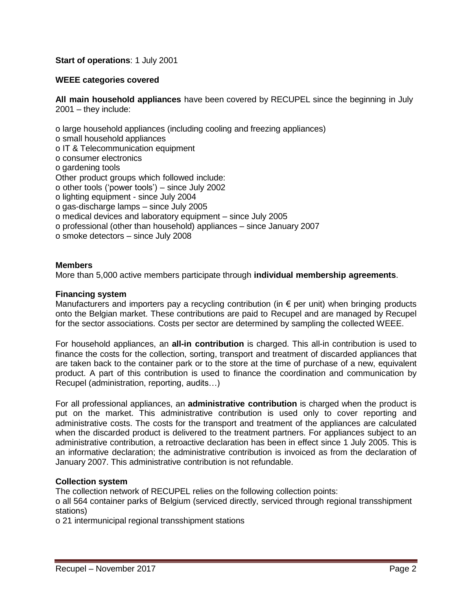# **Start of operations**: 1 July 2001

# **WEEE categories covered**

**All main household appliances** have been covered by RECUPEL since the beginning in July 2001 – they include:

o large household appliances (including cooling and freezing appliances) o small household appliances o IT & Telecommunication equipment o consumer electronics o gardening tools Other product groups which followed include: o other tools ('power tools') – since July 2002 o lighting equipment - since July 2004 o gas-discharge lamps – since July 2005 o medical devices and laboratory equipment – since July 2005 o professional (other than household) appliances – since January 2007 o smoke detectors – since July 2008

# **Members**

More than 5,000 active members participate through **individual membership agreements**.

## **Financing system**

Manufacturers and importers pay a recycling contribution (in  $\epsilon$  per unit) when bringing products onto the Belgian market. These contributions are paid to Recupel and are managed by Recupel for the sector associations. Costs per sector are determined by sampling the collected WEEE.

For household appliances, an **all-in contribution** is charged. This all-in contribution is used to finance the costs for the collection, sorting, transport and treatment of discarded appliances that are taken back to the container park or to the store at the time of purchase of a new, equivalent product. A part of this contribution is used to finance the coordination and communication by Recupel (administration, reporting, audits…)

For all professional appliances, an **administrative contribution** is charged when the product is put on the market. This administrative contribution is used only to cover reporting and administrative costs. The costs for the transport and treatment of the appliances are calculated when the discarded product is delivered to the treatment partners. For appliances subject to an administrative contribution, a retroactive declaration has been in effect since 1 July 2005. This is an informative declaration; the administrative contribution is invoiced as from the declaration of January 2007. This administrative contribution is not refundable.

#### **Collection system**

The collection network of RECUPEL relies on the following collection points:

o all 564 container parks of Belgium (serviced directly, serviced through regional transshipment stations)

o 21 intermunicipal regional transshipment stations